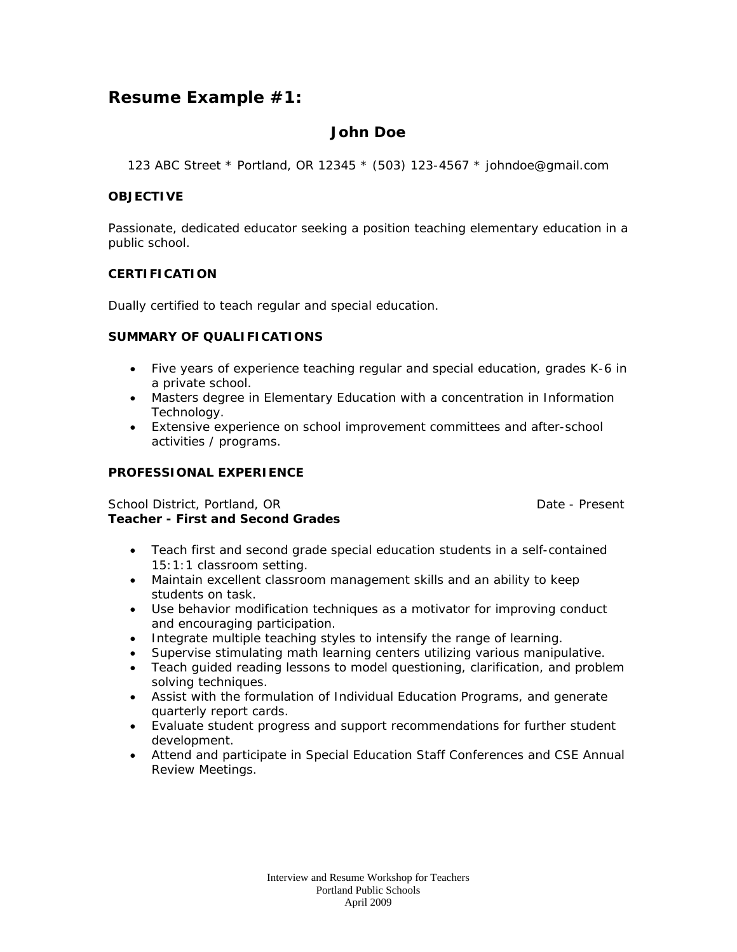# **Resume Example #1:**

## **John Doe**

123 ABC Street \* Portland, OR 12345 \* (503) 123-4567 \* johndoe@gmail.com

## **OBJECTIVE**

Passionate, dedicated educator seeking a position teaching elementary education in a public school.

## **CERTIFICATION**

Dually certified to teach regular and special education.

### **SUMMARY OF QUALIFICATIONS**

- Five years of experience teaching regular and special education, grades K-6 in a private school.
- Masters degree in Elementary Education with a concentration in Information Technology.
- Extensive experience on school improvement committees and after-school activities / programs.

### **PROFESSIONAL EXPERIENCE**

### School District, Portland, OR Date - Present **Teacher - First and Second Grades**

- Teach first and second grade special education students in a self-contained 15:1:1 classroom setting.
- Maintain excellent classroom management skills and an ability to keep students on task.
- Use behavior modification techniques as a motivator for improving conduct and encouraging participation.
- Integrate multiple teaching styles to intensify the range of learning.
- Supervise stimulating math learning centers utilizing various manipulative.
- Teach guided reading lessons to model questioning, clarification, and problem solving techniques.
- Assist with the formulation of Individual Education Programs, and generate quarterly report cards.
- Evaluate student progress and support recommendations for further student development.
- Attend and participate in Special Education Staff Conferences and CSE Annual Review Meetings.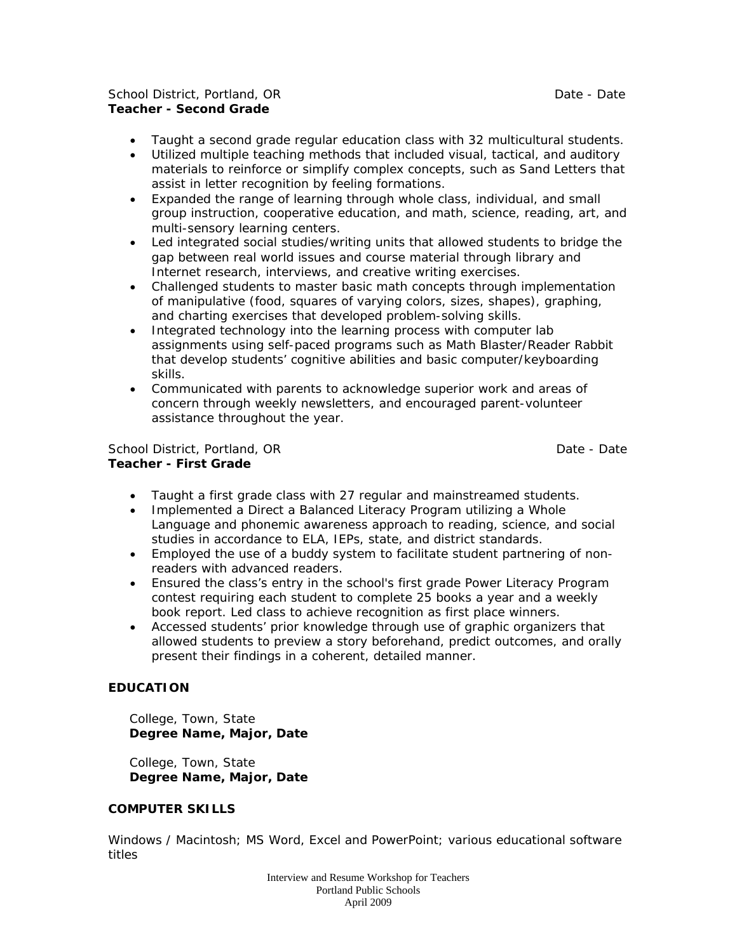### School District, Portland, OR Date - Date - Date - Date - Date - Date - Date - Date - Date - Date - Date - Date - Date - Date - Date - Date - Date - Date - Date - Date - Date - Date - Date - Date - Date - Date - Date - Dat **Teacher - Second Grade**

- Taught a second grade regular education class with 32 multicultural students.
- Utilized multiple teaching methods that included visual, tactical, and auditory materials to reinforce or simplify complex concepts, such as Sand Letters that assist in letter recognition by feeling formations.
- Expanded the range of learning through whole class, individual, and small group instruction, cooperative education, and math, science, reading, art, and multi-sensory learning centers.
- Led integrated social studies/writing units that allowed students to bridge the gap between real world issues and course material through library and Internet research, interviews, and creative writing exercises.
- Challenged students to master basic math concepts through implementation of manipulative (food, squares of varying colors, sizes, shapes), graphing, and charting exercises that developed problem-solving skills.
- Integrated technology into the learning process with computer lab assignments using self-paced programs such as Math Blaster/Reader Rabbit that develop students' cognitive abilities and basic computer/keyboarding skills.
- Communicated with parents to acknowledge superior work and areas of concern through weekly newsletters, and encouraged parent-volunteer assistance throughout the year.

School District, Portland, OR Date - Date - Date - Date - Date - Date - Date - Date - Date - Date - Date - Date - Date - Date - Date - Date - Date - Date - Date - Date - Date - Date - Date - Date - Date - Date - Date - Dat **Teacher - First Grade**

- Taught a first grade class with 27 regular and mainstreamed students.
- Implemented a Direct a Balanced Literacy Program utilizing a Whole Language and phonemic awareness approach to reading, science, and social studies in accordance to ELA, IEPs, state, and district standards.
- Employed the use of a buddy system to facilitate student partnering of nonreaders with advanced readers.
- Ensured the class's entry in the school's first grade Power Literacy Program contest requiring each student to complete 25 books a year and a weekly book report. Led class to achieve recognition as first place winners.
- Accessed students' prior knowledge through use of graphic organizers that allowed students to preview a story beforehand, predict outcomes, and orally present their findings in a coherent, detailed manner.

## **EDUCATION**

 College, Town, State **Degree Name, Major, Date**

 College, Town, State **Degree Name, Major, Date**

### **COMPUTER SKILLS**

Windows / Macintosh; MS Word, Excel and PowerPoint; various educational software titles

> Interview and Resume Workshop for Teachers Portland Public Schools April 2009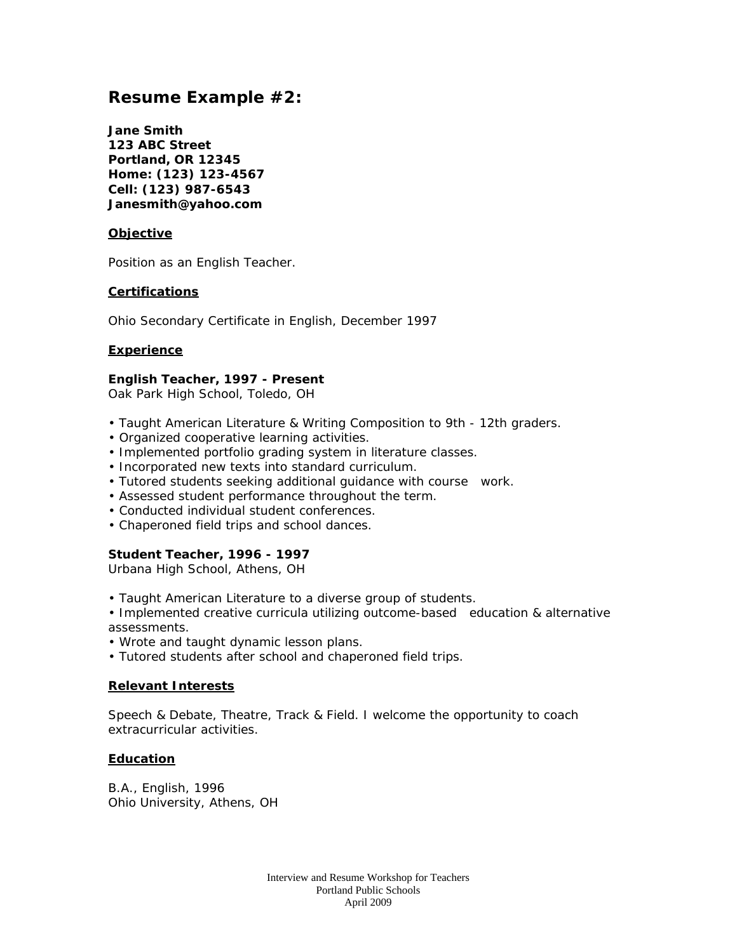# **Resume Example #2:**

**Jane Smith 123 ABC Street Portland, OR 12345 Home: (123) 123-4567 Cell: (123) 987-6543 Janesmith@yahoo.com**

### **Objective**

Position as an English Teacher.

### **Certifications**

Ohio Secondary Certificate in English, December 1997

#### **Experience**

## **English Teacher, 1997 - Present**

*Oak Park High School, Toledo, OH*

- Taught American Literature & Writing Composition to 9th 12th graders.
- Organized cooperative learning activities.
- Implemented portfolio grading system in literature classes.
- Incorporated new texts into standard curriculum.
- Tutored students seeking additional guidance with course work.
- Assessed student performance throughout the term.
- Conducted individual student conferences.
- Chaperoned field trips and school dances.

### **Student Teacher, 1996 - 1997**

*Urbana High School, Athens, OH*

- Taught American Literature to a diverse group of students.
- Implemented creative curricula utilizing outcome-based education & alternative assessments.
- Wrote and taught dynamic lesson plans.
- Tutored students after school and chaperoned field trips.

#### **Relevant Interests**

Speech & Debate, Theatre, Track & Field. I welcome the opportunity to coach extracurricular activities.

#### **Education**

B.A., English, 1996 Ohio University, Athens, OH

> Interview and Resume Workshop for Teachers Portland Public Schools April 2009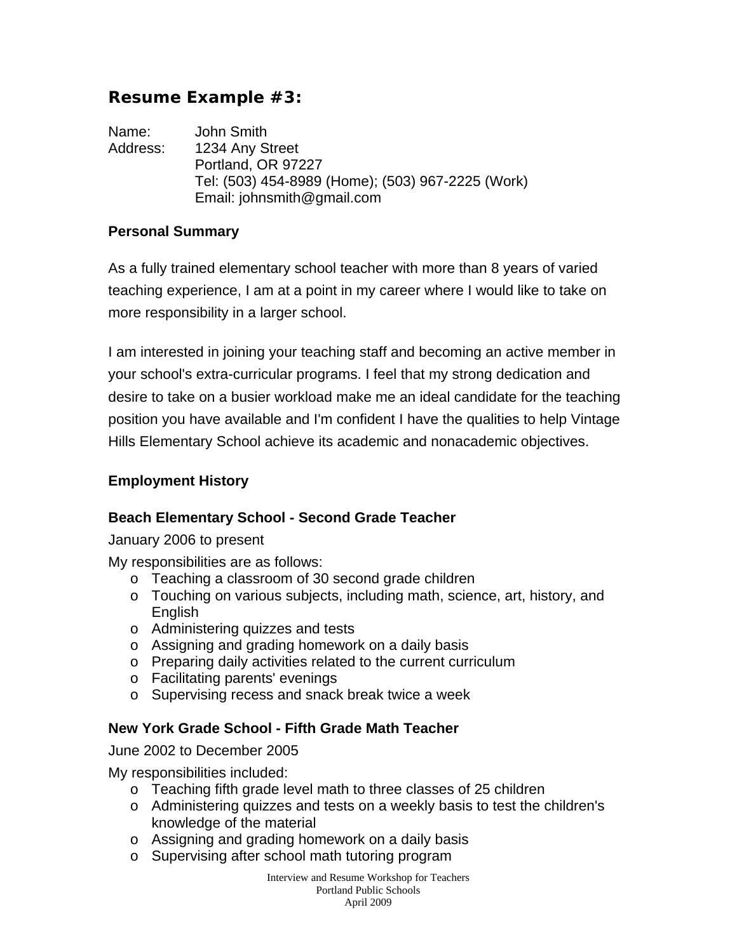# **Resume Example #3:**

Name: John Smith Address: 1234 Any Street Portland, OR 97227 Tel: (503) 454-8989 (Home); (503) 967-2225 (Work) Email: johnsmith@gmail.com

## **Personal Summary**

As a fully trained elementary school teacher with more than 8 years of varied teaching experience, I am at a point in my career where I would like to take on more responsibility in a larger school.

I am interested in joining your teaching staff and becoming an active member in your school's extra-curricular programs. I feel that my strong dedication and desire to take on a busier workload make me an ideal candidate for the teaching position you have available and I'm confident I have the qualities to help Vintage Hills Elementary School achieve its academic and nonacademic objectives.

## **Employment History**

## **Beach Elementary School - Second Grade Teacher**

January 2006 to present

My responsibilities are as follows:

- o Teaching a classroom of 30 second grade children
- o Touching on various subjects, including math, science, art, history, and English
- o Administering quizzes and tests
- o Assigning and grading homework on a daily basis
- o Preparing daily activities related to the current curriculum
- o Facilitating parents' evenings
- o Supervising recess and snack break twice a week

## **New York Grade School - Fifth Grade Math Teacher**

June 2002 to December 2005

My responsibilities included:

- o Teaching fifth grade level math to three classes of 25 children
- o Administering quizzes and tests on a weekly basis to test the children's knowledge of the material
- o Assigning and grading homework on a daily basis
- o Supervising after school math tutoring program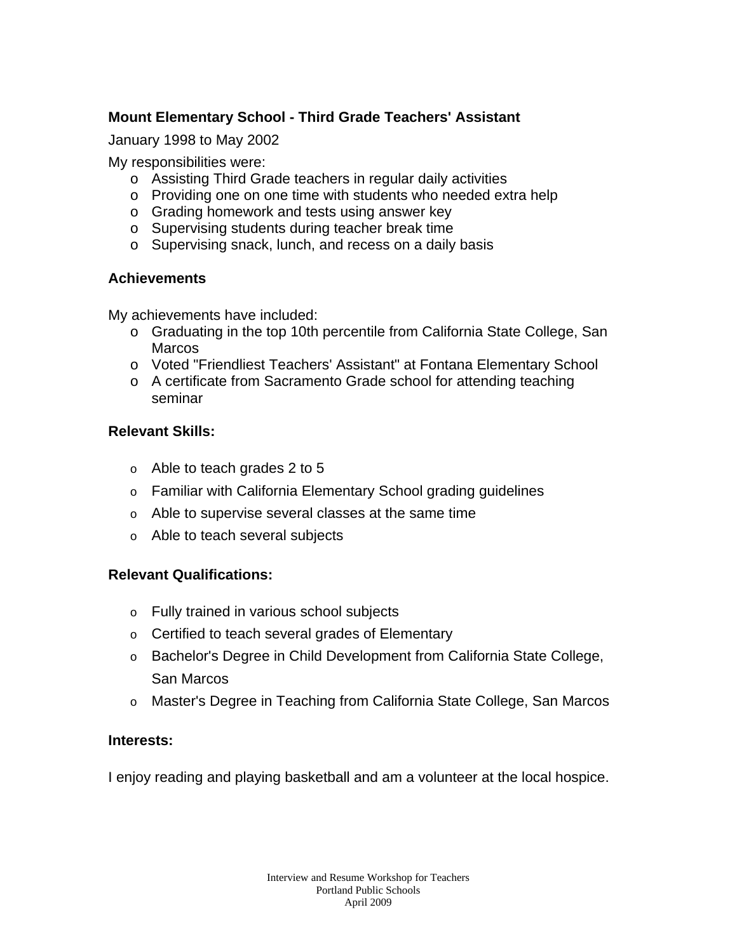# **Mount Elementary School - Third Grade Teachers' Assistant**

January 1998 to May 2002

My responsibilities were:

- o Assisting Third Grade teachers in regular daily activities
- o Providing one on one time with students who needed extra help
- o Grading homework and tests using answer key
- o Supervising students during teacher break time
- o Supervising snack, lunch, and recess on a daily basis

# **Achievements**

My achievements have included:

- o Graduating in the top 10th percentile from California State College, San **Marcos**
- o Voted "Friendliest Teachers' Assistant" at Fontana Elementary School
- o A certificate from Sacramento Grade school for attending teaching seminar

# **Relevant Skills:**

- o Able to teach grades 2 to 5
- o Familiar with California Elementary School grading guidelines
- o Able to supervise several classes at the same time
- o Able to teach several subjects

# **Relevant Qualifications:**

- o Fully trained in various school subjects
- o Certified to teach several grades of Elementary
- o Bachelor's Degree in Child Development from California State College, San Marcos
- o Master's Degree in Teaching from California State College, San Marcos

## **Interests:**

I enjoy reading and playing basketball and am a volunteer at the local hospice.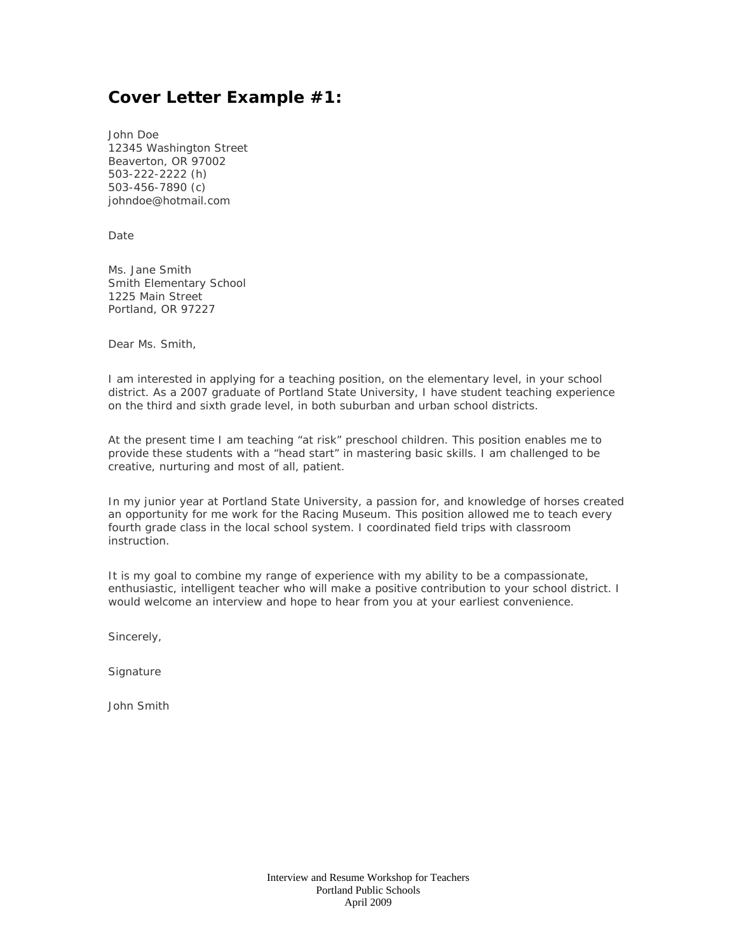# **Cover Letter Example #1:**

John Doe 12345 Washington Street Beaverton, OR 97002 503-222-2222 (h) 503-456-7890 (c) johndoe@hotmail.com

Date

Ms. Jane Smith Smith Elementary School 1225 Main Street Portland, OR 97227

Dear Ms. Smith,

I am interested in applying for a teaching position, on the elementary level, in your school district. As a 2007 graduate of Portland State University, I have student teaching experience on the third and sixth grade level, in both suburban and urban school districts.

At the present time I am teaching "at risk" preschool children. This position enables me to provide these students with a "head start" in mastering basic skills. I am challenged to be creative, nurturing and most of all, patient.

In my junior year at Portland State University, a passion for, and knowledge of horses created an opportunity for me work for the Racing Museum. This position allowed me to teach every fourth grade class in the local school system. I coordinated field trips with classroom instruction.

It is my goal to combine my range of experience with my ability to be a compassionate, enthusiastic, intelligent teacher who will make a positive contribution to your school district. I would welcome an interview and hope to hear from you at your earliest convenience.

Sincerely,

**Signature** 

John Smith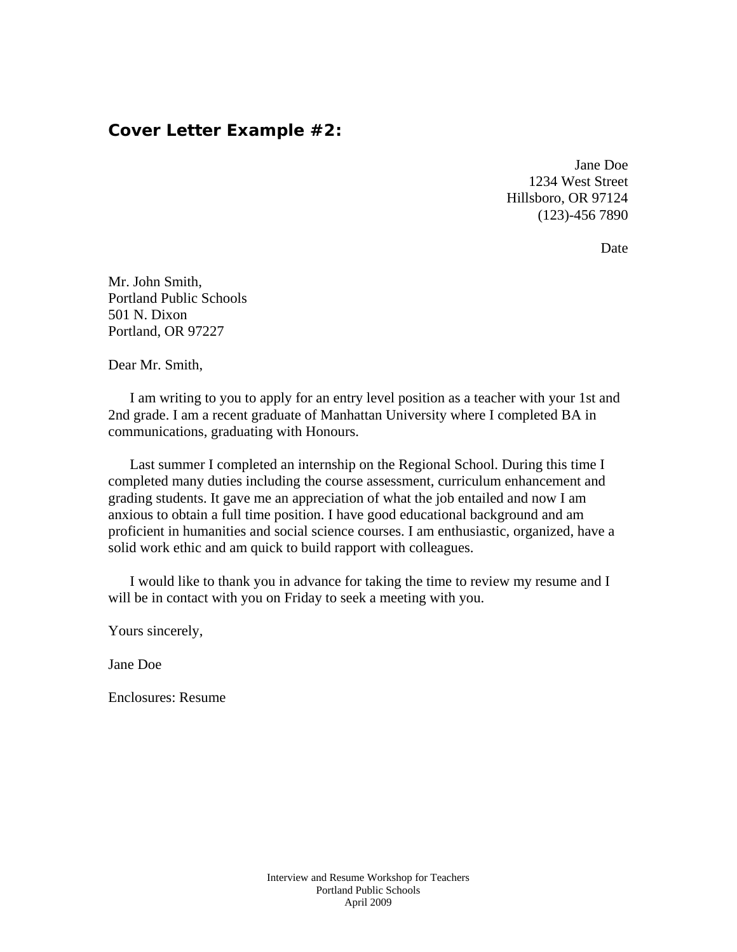## **Cover Letter Example #2:**

Jane Doe 1234 West Street Hillsboro, OR 97124 (123)-456 7890

Date

Mr. John Smith, Portland Public Schools 501 N. Dixon Portland, OR 97227

Dear Mr. Smith,

 I am writing to you to apply for an entry level position as a teacher with your 1st and 2nd grade. I am a recent graduate of Manhattan University where I completed BA in communications, graduating with Honours.

 Last summer I completed an internship on the Regional School. During this time I completed many duties including the course assessment, curriculum enhancement and grading students. It gave me an appreciation of what the job entailed and now I am anxious to obtain a full time position. I have good educational background and am proficient in humanities and social science courses. I am enthusiastic, organized, have a solid work ethic and am quick to build rapport with colleagues.

 I would like to thank you in advance for taking the time to review my resume and I will be in contact with you on Friday to seek a meeting with you.

Yours sincerely,

Jane Doe

Enclosures: Resume